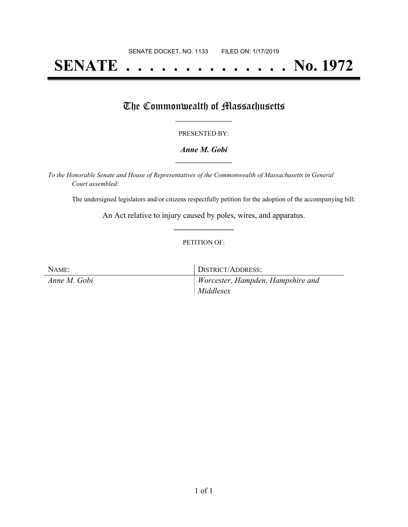# **SENATE . . . . . . . . . . . . . . No. 1972**

## The Commonwealth of Massachusetts

#### PRESENTED BY:

#### *Anne M. Gobi* **\_\_\_\_\_\_\_\_\_\_\_\_\_\_\_\_\_**

*To the Honorable Senate and House of Representatives of the Commonwealth of Massachusetts in General Court assembled:*

The undersigned legislators and/or citizens respectfully petition for the adoption of the accompanying bill:

An Act relative to injury caused by poles, wires, and apparatus. **\_\_\_\_\_\_\_\_\_\_\_\_\_\_\_**

#### PETITION OF:

| NAME:        | DISTRICT/ADDRESS:                 |
|--------------|-----------------------------------|
| Anne M. Gobi | Worcester, Hampden, Hampshire and |
|              | Middlesex                         |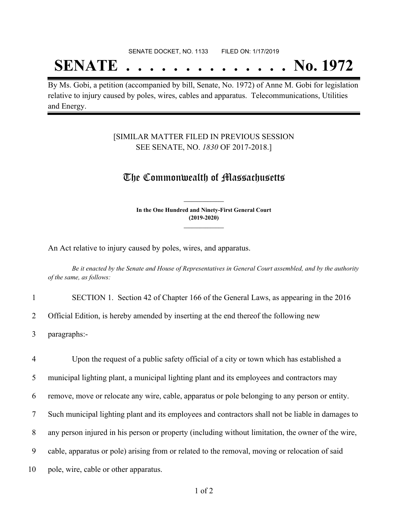#### SENATE DOCKET, NO. 1133 FILED ON: 1/17/2019

## **SENATE . . . . . . . . . . . . . . No. 1972**

By Ms. Gobi, a petition (accompanied by bill, Senate, No. 1972) of Anne M. Gobi for legislation relative to injury caused by poles, wires, cables and apparatus. Telecommunications, Utilities and Energy.

#### [SIMILAR MATTER FILED IN PREVIOUS SESSION SEE SENATE, NO. *1830* OF 2017-2018.]

### The Commonwealth of Massachusetts

**In the One Hundred and Ninety-First General Court (2019-2020) \_\_\_\_\_\_\_\_\_\_\_\_\_\_\_**

**\_\_\_\_\_\_\_\_\_\_\_\_\_\_\_**

An Act relative to injury caused by poles, wires, and apparatus.

Be it enacted by the Senate and House of Representatives in General Court assembled, and by the authority *of the same, as follows:*

1 SECTION 1. Section 42 of Chapter 166 of the General Laws, as appearing in the 2016

2 Official Edition, is hereby amended by inserting at the end thereof the following new

3 paragraphs:-

 Upon the request of a public safety official of a city or town which has established a municipal lighting plant, a municipal lighting plant and its employees and contractors may remove, move or relocate any wire, cable, apparatus or pole belonging to any person or entity. Such municipal lighting plant and its employees and contractors shall not be liable in damages to any person injured in his person or property (including without limitation, the owner of the wire, cable, apparatus or pole) arising from or related to the removal, moving or relocation of said 10 pole, wire, cable or other apparatus.